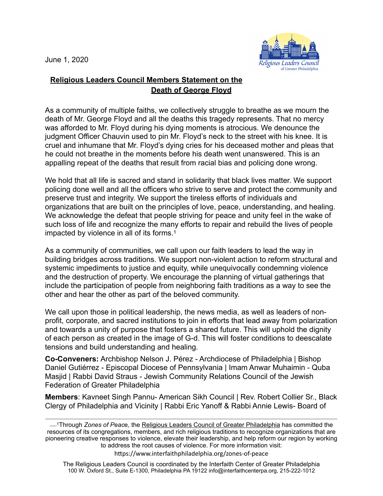June 1, 2020



## **Religious Leaders Council Members Statement on the Death of George Floyd**

As a community of multiple faiths, we collectively struggle to breathe as we mourn the death of Mr. George Floyd and all the deaths this tragedy represents. That no mercy was afforded to Mr. Floyd during his dying moments is atrocious. We denounce the judgment Officer Chauvin used to pin Mr. Floyd's neck to the street with his knee. It is cruel and inhumane that Mr. Floyd's dying cries for his deceased mother and pleas that he could not breathe in the moments before his death went unanswered. This is an appalling repeat of the deaths that result from racial bias and policing done wrong.

We hold that all life is sacred and stand in solidarity that black lives matter. We support policing done well and all the officers who strive to serve and protect the community and preserve trust and integrity. We support the tireless efforts of individuals and organizations that are built on the principles of love, peace, understanding, and healing. We acknowledge the defeat that people striving for peace and unity feel in the wake of such loss of life and recognize the many efforts to repair and rebuild the lives of people impacted by violence in all of its forms.1

As a community of communities, we call upon our faith leaders to lead the way in building bridges across traditions. We support non-violent action to reform structural and systemic impediments to justice and equity, while unequivocally condemning violence and the destruction of property. We encourage the planning of virtual gatherings that include the participation of people from neighboring faith traditions as a way to see the other and hear the other as part of the beloved community.

We call upon those in political leadership, the news media, as well as leaders of nonprofit, corporate, and sacred institutions to join in efforts that lead away from polarization and towards a unity of purpose that fosters a shared future. This will uphold the dignity of each person as created in the image of G-d. This will foster conditions to deescalate tensions and build understanding and healing.

**Co-Conveners:** Archbishop Nelson J. Pérez - Archdiocese of Philadelphia | Bishop Daniel Gutiérrez - Episcopal Diocese of Pennsylvania | Imam Anwar Muhaimin - Quba Masjid | Rabbi David Straus - Jewish Community Relations Council of the Jewish Federation of Greater Philadelphia

**Members**: Kavneet Singh Pannu- American Sikh Council | Rev. Robert Collier Sr., Black Clergy of Philadelphia and Vicinity | Rabbi Eric Yanoff & Rabbi Annie Lewis- Board of

 $\mathcal{L}_\mathcal{L} = \{ \mathcal{L}_\mathcal{L} = \{ \mathcal{L}_\mathcal{L} = \{ \mathcal{L}_\mathcal{L} = \{ \mathcal{L}_\mathcal{L} = \{ \mathcal{L}_\mathcal{L} = \{ \mathcal{L}_\mathcal{L} = \{ \mathcal{L}_\mathcal{L} = \{ \mathcal{L}_\mathcal{L} = \{ \mathcal{L}_\mathcal{L} = \{ \mathcal{L}_\mathcal{L} = \{ \mathcal{L}_\mathcal{L} = \{ \mathcal{L}_\mathcal{L} = \{ \mathcal{L}_\mathcal{L} = \{ \mathcal{L}_\mathcal{$ 

https://www.interfaithphiladelphia.org/zones-of-peace

The Religious Leaders Council is coordinated by the Interfaith Center of Greater Philadelphia 100 W. Oxford St., Suite E-1300, Philadelphia PA 19122 info@interfaithcenterpa.org, 215-222-1012

\_\_\_1Through *Zones of Peac*e, the [Religious Leaders Council of Greater Philadelphia](https://www.interfaithphiladelphia.org/council) has committed the resources of its congregations, members, and rich religious traditions to recognize organizations that are pioneering creative responses to violence, elevate their leadership, and help reform our region by working to address the root causes of violence. For more information visit: